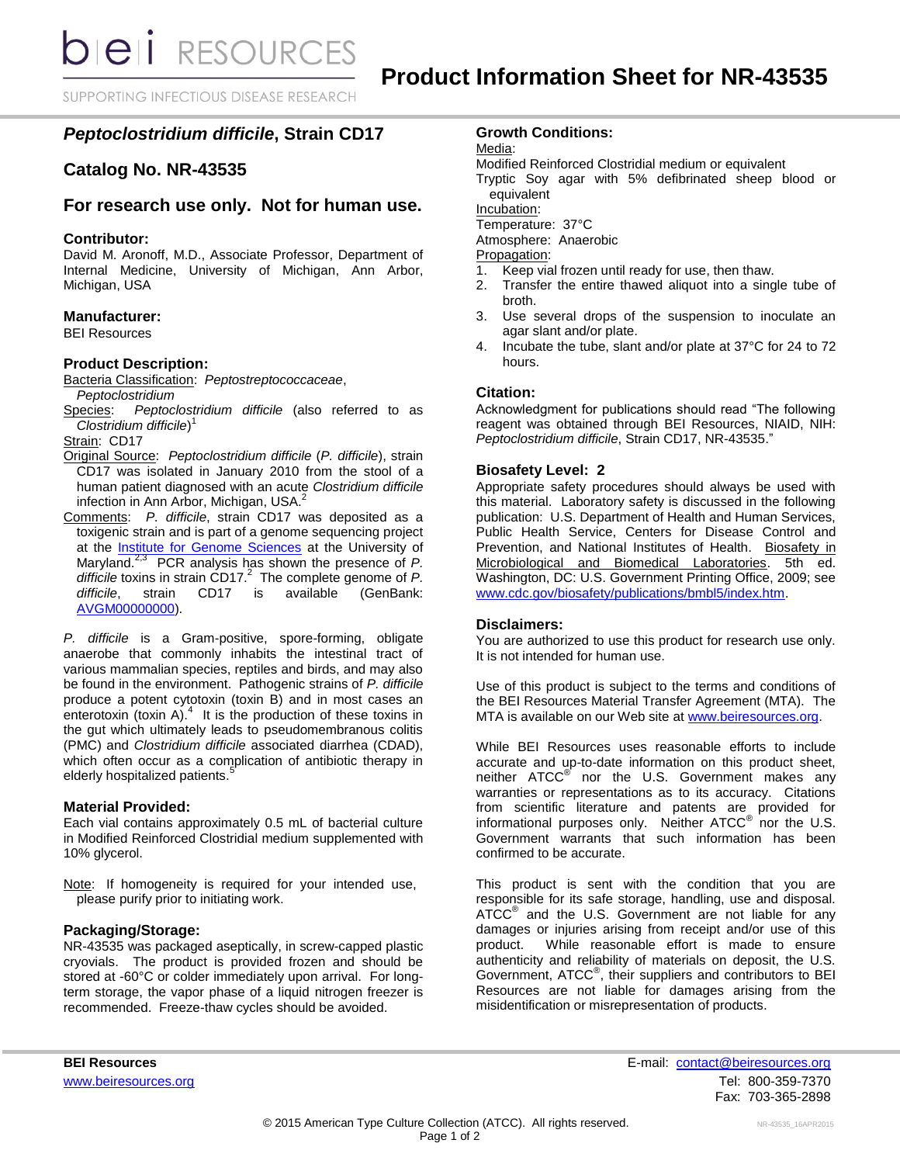**bieli** RESOURCES

SUPPORTING INFECTIOUS DISEASE RESEARCH

# *Peptoclostridium difficile***, Strain CD17**

## **Catalog No. NR-43535**

# **For research use only. Not for human use.**

### **Contributor:**

David M. Aronoff, M.D., Associate Professor, Department of Internal Medicine, University of Michigan, Ann Arbor, Michigan, USA

#### **Manufacturer:**

BEI Resources

#### **Product Description:**

Bacteria Classification: *Peptostreptococcaceae*, *Peptoclostridium*

Species: *Peptoclostridium difficile* (also referred to as *Clostridium difficile*) 1

Strain: CD17

- Original Source: *Peptoclostridium difficile* (*P. difficile*), strain CD17 was isolated in January 2010 from the stool of a human patient diagnosed with an acute *Clostridium difficile* infection in Ann Arbor, Michigan, USA. 2
- Comments: *P. difficile*, strain CD17 was deposited as a toxigenic strain and is part of a genome sequencing project at the [Institute for Genome Sciences](http://www.igs.umaryland.edu/) at the University of Maryland.2,3 PCR analysis has shown the presence of *P. difficile* toxins in strain CD17. 2 The complete genome of *P. difficile*, strain CD17 is available (GenBank: [AVGM00000000\)](http://www.ncbi.nlm.nih.gov/nuccore/AVGM00000000).

*P. difficile* is a Gram-positive, spore-forming, obligate anaerobe that commonly inhabits the intestinal tract of various mammalian species, reptiles and birds, and may also be found in the environment. Pathogenic strains of *P. difficile* produce a potent cytotoxin (toxin B) and in most cases an enterotoxin (toxin A). $4$  It is the production of these toxins in the gut which ultimately leads to pseudomembranous colitis (PMC) and *Clostridium difficile* associated diarrhea (CDAD), which often occur as a complication of antibiotic therapy in elderly hospitalized patients.<sup>5</sup>

#### **Material Provided:**

Each vial contains approximately 0.5 mL of bacterial culture in Modified Reinforced Clostridial medium supplemented with 10% glycerol.

Note: If homogeneity is required for your intended use, please purify prior to initiating work.

#### **Packaging/Storage:**

NR-43535 was packaged aseptically, in screw-capped plastic cryovials. The product is provided frozen and should be stored at -60°C or colder immediately upon arrival. For longterm storage, the vapor phase of a liquid nitrogen freezer is recommended. Freeze-thaw cycles should be avoided.

## **Growth Conditions:**

Media:

Modified Reinforced Clostridial medium or equivalent

Tryptic Soy agar with 5% defibrinated sheep blood or equivalent

Incubation:

Temperature: 37°C

Atmosphere: Anaerobic

Propagation:

- 1. Keep vial frozen until ready for use, then thaw.
- 2. Transfer the entire thawed aliquot into a single tube of broth.
- 3. Use several drops of the suspension to inoculate an agar slant and/or plate.
- 4. Incubate the tube, slant and/or plate at 37°C for 24 to 72 hours.

## **Citation:**

Acknowledgment for publications should read "The following reagent was obtained through BEI Resources, NIAID, NIH: *Peptoclostridium difficile*, Strain CD17, NR-43535."

## **Biosafety Level: 2**

Appropriate safety procedures should always be used with this material. Laboratory safety is discussed in the following publication: U.S. Department of Health and Human Services, Public Health Service, Centers for Disease Control and Prevention, and National Institutes of Health. Biosafety in Microbiological and Biomedical Laboratories. 5th ed. Washington, DC: U.S. Government Printing Office, 2009; see [www.cdc.gov/biosafety/publications/bmbl5/index.htm.](http://www.cdc.gov/biosafety/publications/bmbl5/index.htm)

#### **Disclaimers:**

You are authorized to use this product for research use only. It is not intended for human use.

Use of this product is subject to the terms and conditions of the BEI Resources Material Transfer Agreement (MTA). The MTA is available on our Web site at [www.beiresources.org.](http://www.beiresources.org/)

While BEI Resources uses reasonable efforts to include accurate and up-to-date information on this product sheet, neither ATCC<sup>®</sup> nor the U.S. Government makes any warranties or representations as to its accuracy. Citations from scientific literature and patents are provided for informational purposes only. Neither  $ATCC^{\circledast}$  nor the U.S. Government warrants that such information has been confirmed to be accurate.

This product is sent with the condition that you are responsible for its safe storage, handling, use and disposal. ATCC<sup>®</sup> and the U.S. Government are not liable for any damages or injuries arising from receipt and/or use of this product. While reasonable effort is made to ensure authenticity and reliability of materials on deposit, the U.S. Government, ATCC® , their suppliers and contributors to BEI Resources are not liable for damages arising from the misidentification or misrepresentation of products.

**BEI Resources** E-mail: contact@beiresources.org [www.beiresources.org](http://www.beiresources.org/) **Tel: 800-359-7370** Fax: 703-365-2898